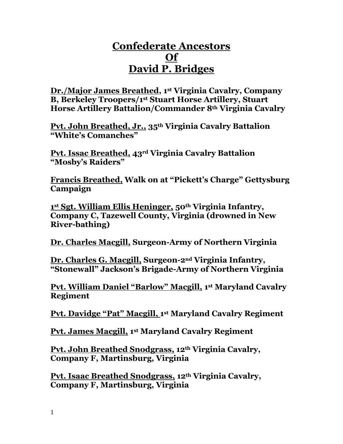## **Confederate Ancestors Of David P. Bridges**

**Dr./Major James Breathed, 1st Virginia Cavalry, Company B, Berkeley Troopers/1st Stuart Horse Artillery, Stuart Horse Artillery Battalion/Commander 8th Virginia Cavalry**

**Pvt. John Breathed, Jr., 35th Virginia Cavalry Battalion "White's Comanches"**

**Pvt. Issac Breathed, 43rd Virginia Cavalry Battalion "Mosby's Raiders"**

**Francis Breathed, Walk on at "Pickett's Charge" Gettysburg Campaign**

**1 st Sgt. William Ellis Heninger, 50th Virginia Infantry, Company C, Tazewell County, Virginia (drowned in New River-bathing)**

**Dr. Charles Macgill, Surgeon-Army of Northern Virginia**

**Dr. Charles G. Macgill, Surgeon-2nd Virginia Infantry, "Stonewall" Jackson's Brigade-Army of Northern Virginia**

**Pvt. William Daniel "Barlow" Macgill, 1 st Maryland Cavalry Regiment**

**Pvt. Davidge "Pat" Macgill, 1 st Maryland Cavalry Regiment**

**Pvt. James Macgill, 1 st Maryland Cavalry Regiment**

**Pvt. John Breathed Snodgrass, 12th Virginia Cavalry, Company F, Martinsburg, Virginia**

**Pvt. Isaac Breathed Snodgrass, 12th Virginia Cavalry, Company F, Martinsburg, Virginia**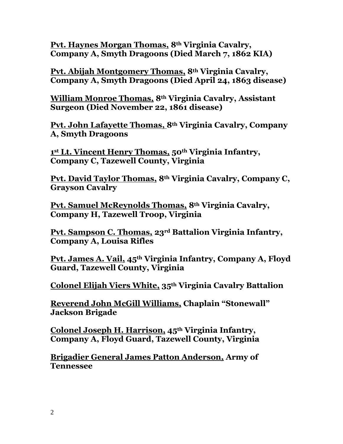**Pvt. Haynes Morgan Thomas, 8th Virginia Cavalry, Company A, Smyth Dragoons (Died March 7, 1862 KIA)**

**Pvt. Abijah Montgomery Thomas, 8th Virginia Cavalry, Company A, Smyth Dragoons (Died April 24, 1863 disease)**

**William Monroe Thomas, 8th Virginia Cavalry, Assistant Surgeon (Died November 22, 1861 disease)**

**Pvt. John Lafayette Thomas, 8th Virginia Cavalry, Company A, Smyth Dragoons**

**1 st Lt. Vincent Henry Thomas, 50th Virginia Infantry, Company C, Tazewell County, Virginia**

**Pvt. David Taylor Thomas, 8th Virginia Cavalry, Company C, Grayson Cavalry**

**Pvt. Samuel McReynolds Thomas, 8th Virginia Cavalry, Company H, Tazewell Troop, Virginia**

**Pvt. Sampson C. Thomas, 23rd Battalion Virginia Infantry, Company A, Louisa Rifles**

**Pvt. James A. Vail, 45th Virginia Infantry, Company A, Floyd Guard, Tazewell County, Virginia**

**Colonel Elijah Viers White, 35th Virginia Cavalry Battalion**

**Reverend John McGill Williams, Chaplain "Stonewall" Jackson Brigade**

**Colonel Joseph H. Harrison, 45th Virginia Infantry, Company A, Floyd Guard, Tazewell County, Virginia** 

**Brigadier General James Patton Anderson, Army of Tennessee**